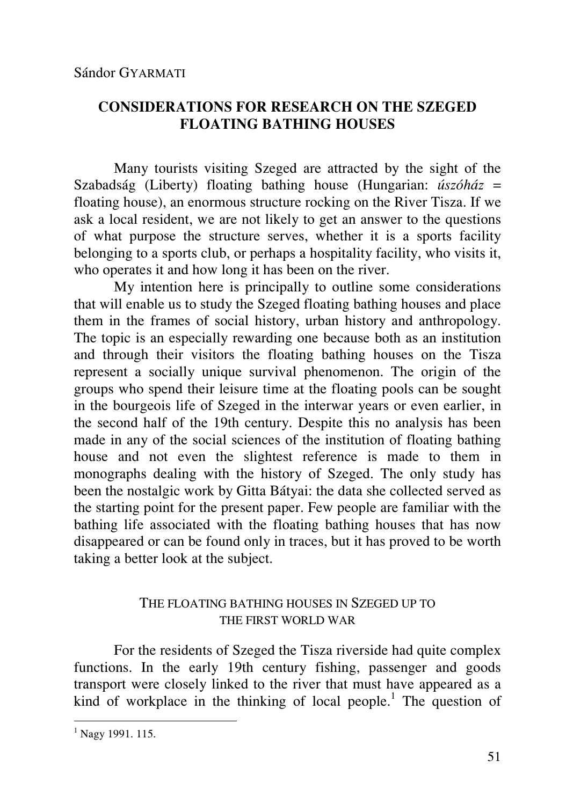## **CONSIDERATIONS FOR RESEARCH ON THE SZEGED FLOATING BATHING HOUSES**

Many tourists visiting Szeged are attracted by the sight of the Szabadság (Liberty) floating bathing house (Hungarian: *úszóház* = floating house), an enormous structure rocking on the River Tisza. If we ask a local resident, we are not likely to get an answer to the questions of what purpose the structure serves, whether it is a sports facility belonging to a sports club, or perhaps a hospitality facility, who visits it, who operates it and how long it has been on the river.

My intention here is principally to outline some considerations that will enable us to study the Szeged floating bathing houses and place them in the frames of social history, urban history and anthropology. The topic is an especially rewarding one because both as an institution and through their visitors the floating bathing houses on the Tisza represent a socially unique survival phenomenon. The origin of the groups who spend their leisure time at the floating pools can be sought in the bourgeois life of Szeged in the interwar years or even earlier, in the second half of the 19th century. Despite this no analysis has been made in any of the social sciences of the institution of floating bathing house and not even the slightest reference is made to them in monographs dealing with the history of Szeged. The only study has been the nostalgic work by Gitta Bátyai: the data she collected served as the starting point for the present paper. Few people are familiar with the bathing life associated with the floating bathing houses that has now disappeared or can be found only in traces, but it has proved to be worth taking a better look at the subject.

## THE FLOATING BATHING HOUSES IN SZEGED UP TO THE FIRST WORLD WAR

For the residents of Szeged the Tisza riverside had quite complex functions. In the early 19th century fishing, passenger and goods transport were closely linked to the river that must have appeared as a kind of workplace in the thinking of local people.<sup>1</sup> The question of

<sup>&</sup>lt;sup>1</sup> Nagy 1991. 115.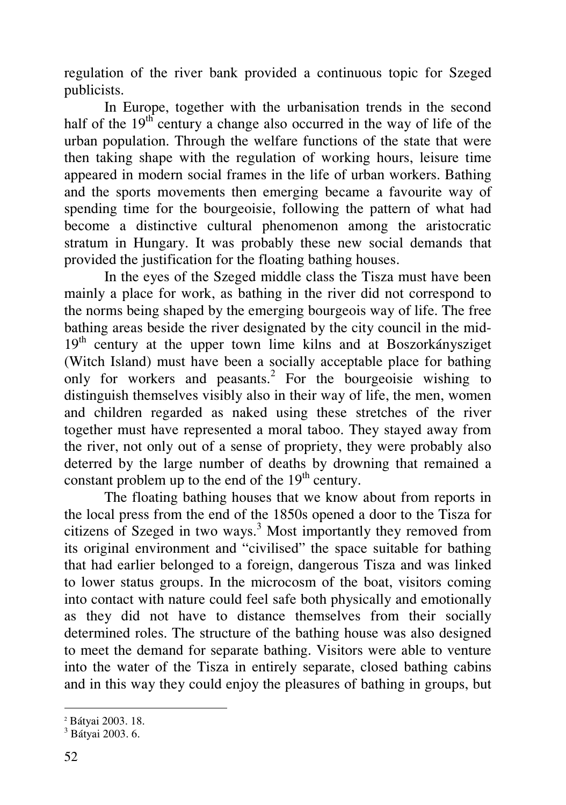regulation of the river bank provided a continuous topic for Szeged publicists.

In Europe, together with the urbanisation trends in the second half of the  $19<sup>th</sup>$  century a change also occurred in the way of life of the urban population. Through the welfare functions of the state that were then taking shape with the regulation of working hours, leisure time appeared in modern social frames in the life of urban workers. Bathing and the sports movements then emerging became a favourite way of spending time for the bourgeoisie, following the pattern of what had become a distinctive cultural phenomenon among the aristocratic stratum in Hungary. It was probably these new social demands that provided the justification for the floating bathing houses.

In the eyes of the Szeged middle class the Tisza must have been mainly a place for work, as bathing in the river did not correspond to the norms being shaped by the emerging bourgeois way of life. The free bathing areas beside the river designated by the city council in the mid- $19<sup>th</sup>$  century at the upper town lime kilns and at Boszorkánysziget (Witch Island) must have been a socially acceptable place for bathing only for workers and peasants.<sup>2</sup> For the bourgeoisie wishing to distinguish themselves visibly also in their way of life, the men, women and children regarded as naked using these stretches of the river together must have represented a moral taboo. They stayed away from the river, not only out of a sense of propriety, they were probably also deterred by the large number of deaths by drowning that remained a constant problem up to the end of the  $19<sup>th</sup>$  century.

The floating bathing houses that we know about from reports in the local press from the end of the 1850s opened a door to the Tisza for citizens of Szeged in two ways. $3$  Most importantly they removed from its original environment and "civilised" the space suitable for bathing that had earlier belonged to a foreign, dangerous Tisza and was linked to lower status groups. In the microcosm of the boat, visitors coming into contact with nature could feel safe both physically and emotionally as they did not have to distance themselves from their socially determined roles. The structure of the bathing house was also designed to meet the demand for separate bathing. Visitors were able to venture into the water of the Tisza in entirely separate, closed bathing cabins and in this way they could enjoy the pleasures of bathing in groups, but

 $\overline{a}$ 

<sup>2</sup> Bátyai 2003. 18.

<sup>3</sup> Bátyai 2003. 6.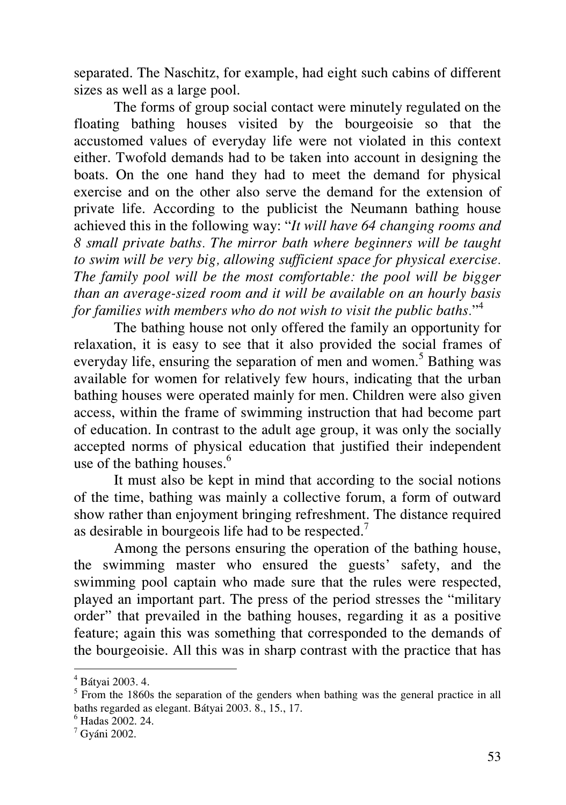separated. The Naschitz, for example, had eight such cabins of different sizes as well as a large pool.

The forms of group social contact were minutely regulated on the floating bathing houses visited by the bourgeoisie so that the accustomed values of everyday life were not violated in this context either. Twofold demands had to be taken into account in designing the boats. On the one hand they had to meet the demand for physical exercise and on the other also serve the demand for the extension of private life. According to the publicist the Neumann bathing house achieved this in the following way: "*It will have 64 changing rooms and 8 small private baths. The mirror bath where beginners will be taught to swim will be very big, allowing sufficient space for physical exercise. The family pool will be the most comfortable: the pool will be bigger than an average-sized room and it will be available on an hourly basis for families with members who do not wish to visit the public baths.*" 4

The bathing house not only offered the family an opportunity for relaxation, it is easy to see that it also provided the social frames of everyday life, ensuring the separation of men and women.<sup>5</sup> Bathing was available for women for relatively few hours, indicating that the urban bathing houses were operated mainly for men. Children were also given access, within the frame of swimming instruction that had become part of education. In contrast to the adult age group, it was only the socially accepted norms of physical education that justified their independent use of the bathing houses. $6$ 

It must also be kept in mind that according to the social notions of the time, bathing was mainly a collective forum, a form of outward show rather than enjoyment bringing refreshment. The distance required as desirable in bourgeois life had to be respected. $<sup>7</sup>$ </sup>

Among the persons ensuring the operation of the bathing house, the swimming master who ensured the guests' safety, and the swimming pool captain who made sure that the rules were respected, played an important part. The press of the period stresses the "military order" that prevailed in the bathing houses, regarding it as a positive feature; again this was something that corresponded to the demands of the bourgeoisie. All this was in sharp contrast with the practice that has

<sup>-</sup>4 Bátyai 2003. 4.

 $<sup>5</sup>$  From the 1860s the separation of the genders when bathing was the general practice in all</sup> baths regarded as elegant. Bátyai 2003. 8., 15., 17.

<sup>6</sup> Hadas 2002. 24.

 $<sup>7</sup>$  Gyáni 2002.</sup>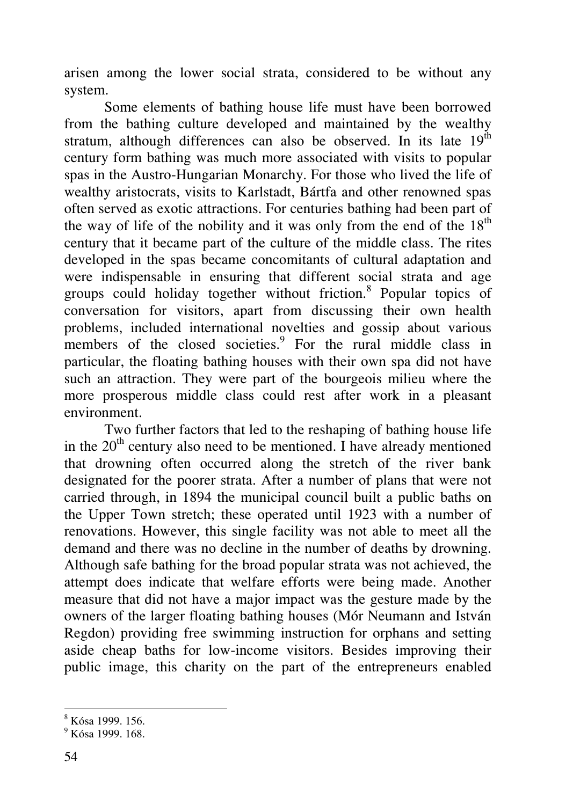arisen among the lower social strata, considered to be without any system.

Some elements of bathing house life must have been borrowed from the bathing culture developed and maintained by the wealthy stratum, although differences can also be observed. In its late  $19<sup>th</sup>$ century form bathing was much more associated with visits to popular spas in the Austro-Hungarian Monarchy. For those who lived the life of wealthy aristocrats, visits to Karlstadt, Bártfa and other renowned spas often served as exotic attractions. For centuries bathing had been part of the way of life of the nobility and it was only from the end of the  $18<sup>th</sup>$ century that it became part of the culture of the middle class. The rites developed in the spas became concomitants of cultural adaptation and were indispensable in ensuring that different social strata and age groups could holiday together without friction.<sup>8</sup> Popular topics of conversation for visitors, apart from discussing their own health problems, included international novelties and gossip about various members of the closed societies.<sup>9</sup> For the rural middle class in particular, the floating bathing houses with their own spa did not have such an attraction. They were part of the bourgeois milieu where the more prosperous middle class could rest after work in a pleasant environment.

Two further factors that led to the reshaping of bathing house life in the  $20<sup>th</sup>$  century also need to be mentioned. I have already mentioned that drowning often occurred along the stretch of the river bank designated for the poorer strata. After a number of plans that were not carried through, in 1894 the municipal council built a public baths on the Upper Town stretch; these operated until 1923 with a number of renovations. However, this single facility was not able to meet all the demand and there was no decline in the number of deaths by drowning. Although safe bathing for the broad popular strata was not achieved, the attempt does indicate that welfare efforts were being made. Another measure that did not have a major impact was the gesture made by the owners of the larger floating bathing houses (Mór Neumann and István Regdon) providing free swimming instruction for orphans and setting aside cheap baths for low-income visitors. Besides improving their public image, this charity on the part of the entrepreneurs enabled

 8 Kósa 1999. 156.

<sup>&</sup>lt;sup>9</sup> Kósa 1999. 168.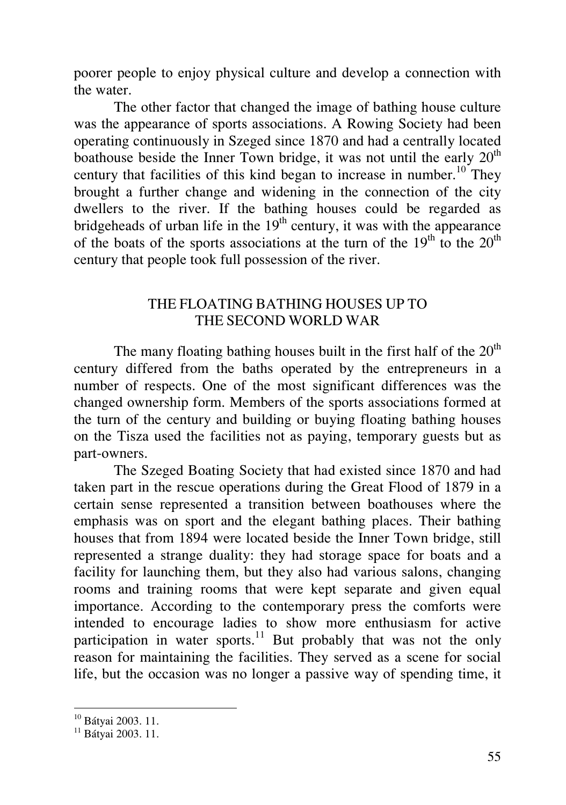poorer people to enjoy physical culture and develop a connection with the water.

The other factor that changed the image of bathing house culture was the appearance of sports associations. A Rowing Society had been operating continuously in Szeged since 1870 and had a centrally located boathouse beside the Inner Town bridge, it was not until the early  $20<sup>th</sup>$ century that facilities of this kind began to increase in number.<sup>10</sup> They brought a further change and widening in the connection of the city dwellers to the river. If the bathing houses could be regarded as bridgeheads of urban life in the  $19<sup>th</sup>$  century, it was with the appearance of the boats of the sports associations at the turn of the  $19<sup>th</sup>$  to the  $20<sup>th</sup>$ century that people took full possession of the river.

#### THE FLOATING BATHING HOUSES UP TO THE SECOND WORLD WAR

The many floating bathing houses built in the first half of the  $20<sup>th</sup>$ century differed from the baths operated by the entrepreneurs in a number of respects. One of the most significant differences was the changed ownership form. Members of the sports associations formed at the turn of the century and building or buying floating bathing houses on the Tisza used the facilities not as paying, temporary guests but as part-owners.

The Szeged Boating Society that had existed since 1870 and had taken part in the rescue operations during the Great Flood of 1879 in a certain sense represented a transition between boathouses where the emphasis was on sport and the elegant bathing places. Their bathing houses that from 1894 were located beside the Inner Town bridge, still represented a strange duality: they had storage space for boats and a facility for launching them, but they also had various salons, changing rooms and training rooms that were kept separate and given equal importance. According to the contemporary press the comforts were intended to encourage ladies to show more enthusiasm for active participation in water sports.<sup>11</sup> But probably that was not the only reason for maintaining the facilities. They served as a scene for social life, but the occasion was no longer a passive way of spending time, it

-

<sup>10</sup> Bátyai 2003. 11.

<sup>&</sup>lt;sup>11</sup> Bátvai 2003. 11.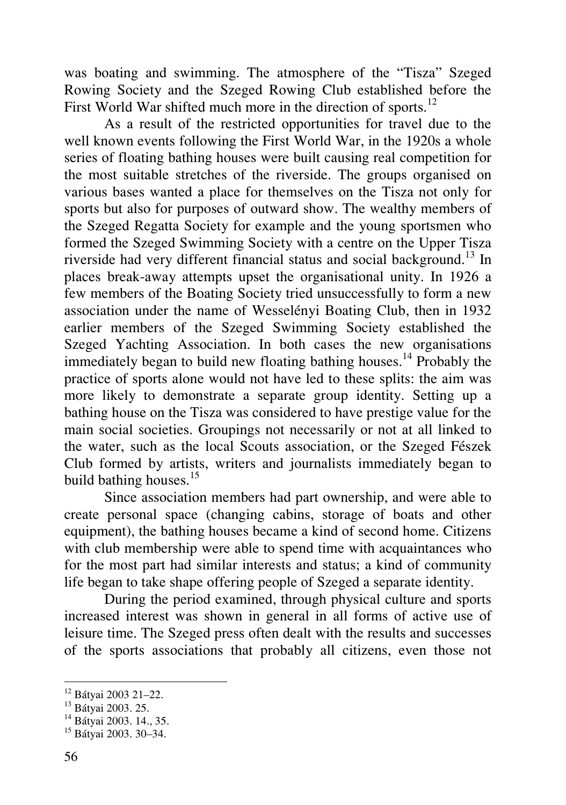was boating and swimming. The atmosphere of the "Tisza" Szeged Rowing Society and the Szeged Rowing Club established before the First World War shifted much more in the direction of sports. $^{12}$ 

As a result of the restricted opportunities for travel due to the well known events following the First World War, in the 1920s a whole series of floating bathing houses were built causing real competition for the most suitable stretches of the riverside. The groups organised on various bases wanted a place for themselves on the Tisza not only for sports but also for purposes of outward show. The wealthy members of the Szeged Regatta Society for example and the young sportsmen who formed the Szeged Swimming Society with a centre on the Upper Tisza riverside had very different financial status and social background.<sup>13</sup> In places break-away attempts upset the organisational unity. In 1926 a few members of the Boating Society tried unsuccessfully to form a new association under the name of Wesselényi Boating Club, then in 1932 earlier members of the Szeged Swimming Society established the Szeged Yachting Association. In both cases the new organisations immediately began to build new floating bathing houses.<sup>14</sup> Probably the practice of sports alone would not have led to these splits: the aim was more likely to demonstrate a separate group identity. Setting up a bathing house on the Tisza was considered to have prestige value for the main social societies. Groupings not necessarily or not at all linked to the water, such as the local Scouts association, or the Szeged Fészek Club formed by artists, writers and journalists immediately began to build bathing houses.<sup>15</sup>

Since association members had part ownership, and were able to create personal space (changing cabins, storage of boats and other equipment), the bathing houses became a kind of second home. Citizens with club membership were able to spend time with acquaintances who for the most part had similar interests and status; a kind of community life began to take shape offering people of Szeged a separate identity.

During the period examined, through physical culture and sports increased interest was shown in general in all forms of active use of leisure time. The Szeged press often dealt with the results and successes of the sports associations that probably all citizens, even those not

 $\overline{a}$ 

<sup>12</sup> Bátyai 2003 21–22.

<sup>&</sup>lt;sup>13</sup> Bátyai 2003. 25.

<sup>&</sup>lt;sup>14</sup> Bátyai 2003. 14., 35.

<sup>15</sup> Bátyai 2003. 30–34.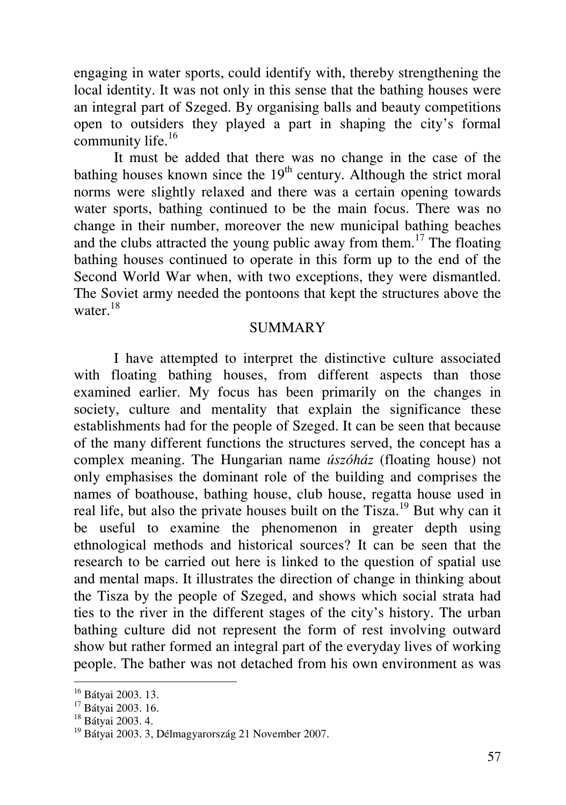engaging in water sports, could identify with, thereby strengthening the local identity. It was not only in this sense that the bathing houses were an integral part of Szeged. By organising balls and beauty competitions open to outsiders they played a part in shaping the city's formal community life. $16$ 

It must be added that there was no change in the case of the bathing houses known since the  $19<sup>th</sup>$  century. Although the strict moral norms were slightly relaxed and there was a certain opening towards water sports, bathing continued to be the main focus. There was no change in their number, moreover the new municipal bathing beaches and the clubs attracted the young public away from them.<sup>17</sup> The floating bathing houses continued to operate in this form up to the end of the Second World War when, with two exceptions, they were dismantled. The Soviet army needed the pontoons that kept the structures above the water. $^{18}$ 

#### **SUMMARY**

I have attempted to interpret the distinctive culture associated with floating bathing houses, from different aspects than those examined earlier. My focus has been primarily on the changes in society, culture and mentality that explain the significance these establishments had for the people of Szeged. It can be seen that because of the many different functions the structures served, the concept has a complex meaning. The Hungarian name *úszóház* (floating house) not only emphasises the dominant role of the building and comprises the names of boathouse, bathing house, club house, regatta house used in real life, but also the private houses built on the Tisza.<sup>19</sup> But why can it be useful to examine the phenomenon in greater depth using ethnological methods and historical sources? It can be seen that the research to be carried out here is linked to the question of spatial use and mental maps. It illustrates the direction of change in thinking about the Tisza by the people of Szeged, and shows which social strata had ties to the river in the different stages of the city's history. The urban bathing culture did not represent the form of rest involving outward show but rather formed an integral part of the everyday lives of working people. The bather was not detached from his own environment as was

-

<sup>&</sup>lt;sup>16</sup> Bátyai 2003. 13.

<sup>17</sup> Bátyai 2003. 16.

<sup>18</sup> Bátyai 2003. 4.

<sup>19</sup> Bátyai 2003. 3, Délmagyarország 21 November 2007.